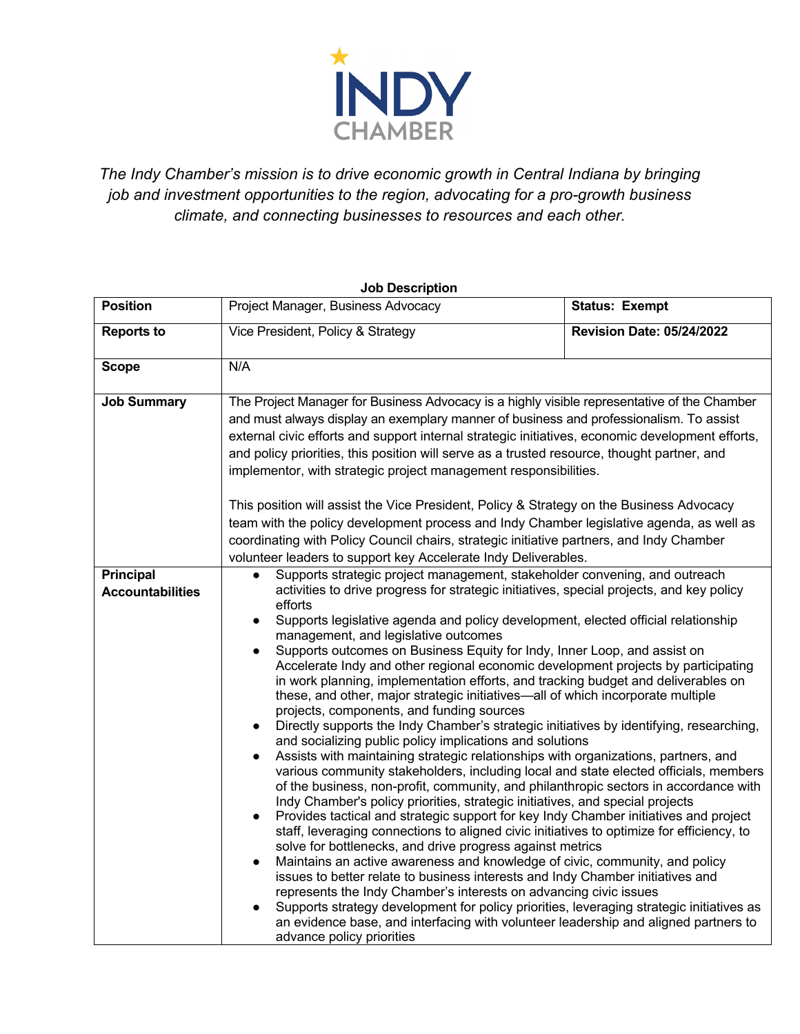

*The Indy Chamber's mission is to drive economic growth in Central Indiana by bringing job and investment opportunities to the region, advocating for a pro-growth business climate, and connecting businesses to resources and each other.*

| <b>Job Description</b>                      |                                                                                                                                                                                                                                                                                                                                                                                                                                                                                                                                                                                                                                                                                                                                                                                                                                                                                                                                                                                                                                                                                                                                                                                                                                                                                                                                                                                                                                                                                                                                                                                                                                                                                                                                                                                                                                                                                                                                                                                                                                     |                                  |
|---------------------------------------------|-------------------------------------------------------------------------------------------------------------------------------------------------------------------------------------------------------------------------------------------------------------------------------------------------------------------------------------------------------------------------------------------------------------------------------------------------------------------------------------------------------------------------------------------------------------------------------------------------------------------------------------------------------------------------------------------------------------------------------------------------------------------------------------------------------------------------------------------------------------------------------------------------------------------------------------------------------------------------------------------------------------------------------------------------------------------------------------------------------------------------------------------------------------------------------------------------------------------------------------------------------------------------------------------------------------------------------------------------------------------------------------------------------------------------------------------------------------------------------------------------------------------------------------------------------------------------------------------------------------------------------------------------------------------------------------------------------------------------------------------------------------------------------------------------------------------------------------------------------------------------------------------------------------------------------------------------------------------------------------------------------------------------------------|----------------------------------|
| <b>Position</b>                             | Project Manager, Business Advocacy                                                                                                                                                                                                                                                                                                                                                                                                                                                                                                                                                                                                                                                                                                                                                                                                                                                                                                                                                                                                                                                                                                                                                                                                                                                                                                                                                                                                                                                                                                                                                                                                                                                                                                                                                                                                                                                                                                                                                                                                  | <b>Status: Exempt</b>            |
| <b>Reports to</b>                           | Vice President, Policy & Strategy                                                                                                                                                                                                                                                                                                                                                                                                                                                                                                                                                                                                                                                                                                                                                                                                                                                                                                                                                                                                                                                                                                                                                                                                                                                                                                                                                                                                                                                                                                                                                                                                                                                                                                                                                                                                                                                                                                                                                                                                   | <b>Revision Date: 05/24/2022</b> |
| <b>Scope</b>                                | N/A                                                                                                                                                                                                                                                                                                                                                                                                                                                                                                                                                                                                                                                                                                                                                                                                                                                                                                                                                                                                                                                                                                                                                                                                                                                                                                                                                                                                                                                                                                                                                                                                                                                                                                                                                                                                                                                                                                                                                                                                                                 |                                  |
| <b>Job Summary</b>                          | The Project Manager for Business Advocacy is a highly visible representative of the Chamber<br>and must always display an exemplary manner of business and professionalism. To assist<br>external civic efforts and support internal strategic initiatives, economic development efforts,<br>and policy priorities, this position will serve as a trusted resource, thought partner, and<br>implementor, with strategic project management responsibilities.<br>This position will assist the Vice President, Policy & Strategy on the Business Advocacy<br>team with the policy development process and Indy Chamber legislative agenda, as well as<br>coordinating with Policy Council chairs, strategic initiative partners, and Indy Chamber                                                                                                                                                                                                                                                                                                                                                                                                                                                                                                                                                                                                                                                                                                                                                                                                                                                                                                                                                                                                                                                                                                                                                                                                                                                                                    |                                  |
| <b>Principal</b><br><b>Accountabilities</b> | volunteer leaders to support key Accelerate Indy Deliverables.<br>Supports strategic project management, stakeholder convening, and outreach<br>activities to drive progress for strategic initiatives, special projects, and key policy<br>efforts<br>Supports legislative agenda and policy development, elected official relationship<br>$\bullet$<br>management, and legislative outcomes<br>Supports outcomes on Business Equity for Indy, Inner Loop, and assist on<br>Accelerate Indy and other regional economic development projects by participating<br>in work planning, implementation efforts, and tracking budget and deliverables on<br>these, and other, major strategic initiatives-all of which incorporate multiple<br>projects, components, and funding sources<br>Directly supports the Indy Chamber's strategic initiatives by identifying, researching,<br>and socializing public policy implications and solutions<br>Assists with maintaining strategic relationships with organizations, partners, and<br>various community stakeholders, including local and state elected officials, members<br>of the business, non-profit, community, and philanthropic sectors in accordance with<br>Indy Chamber's policy priorities, strategic initiatives, and special projects<br>Provides tactical and strategic support for key Indy Chamber initiatives and project<br>$\bullet$<br>staff, leveraging connections to aligned civic initiatives to optimize for efficiency, to<br>solve for bottlenecks, and drive progress against metrics<br>Maintains an active awareness and knowledge of civic, community, and policy<br>$\bullet$<br>issues to better relate to business interests and Indy Chamber initiatives and<br>represents the Indy Chamber's interests on advancing civic issues<br>Supports strategy development for policy priorities, leveraging strategic initiatives as<br>an evidence base, and interfacing with volunteer leadership and aligned partners to<br>advance policy priorities |                                  |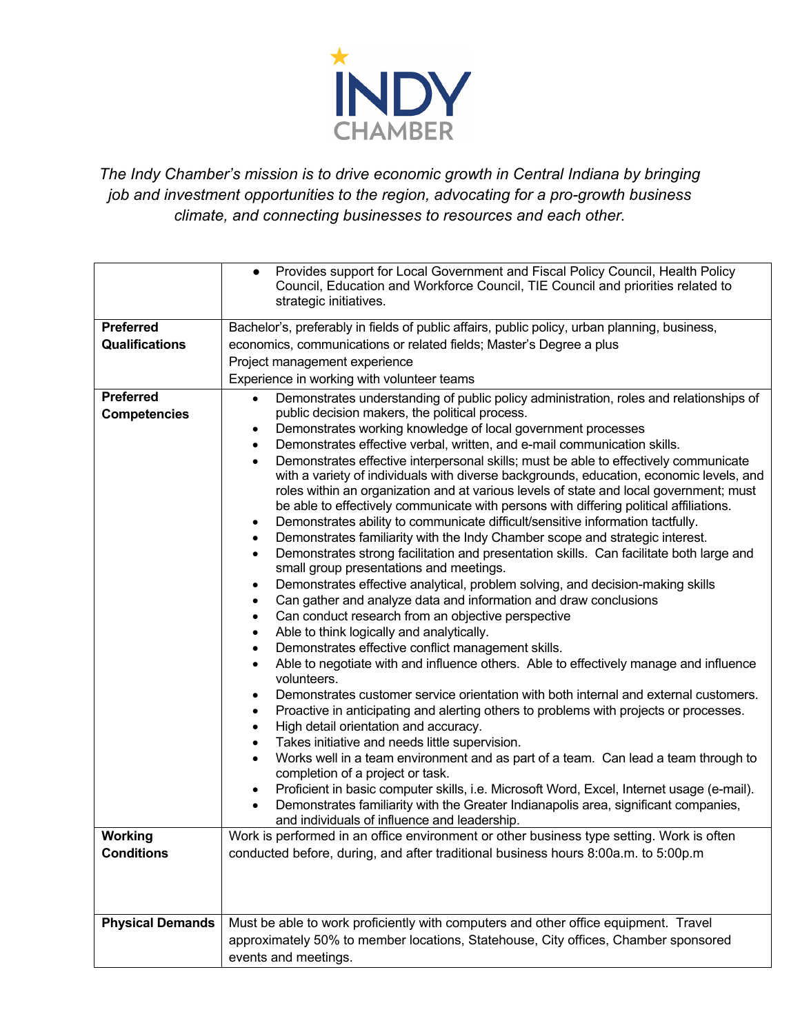

*The Indy Chamber's mission is to drive economic growth in Central Indiana by bringing job and investment opportunities to the region, advocating for a pro-growth business climate, and connecting businesses to resources and each other.*

|                                                                | Provides support for Local Government and Fiscal Policy Council, Health Policy<br>$\bullet$<br>Council, Education and Workforce Council, TIE Council and priorities related to                                                                                                                                                                              |  |
|----------------------------------------------------------------|-------------------------------------------------------------------------------------------------------------------------------------------------------------------------------------------------------------------------------------------------------------------------------------------------------------------------------------------------------------|--|
|                                                                | strategic initiatives.                                                                                                                                                                                                                                                                                                                                      |  |
| <b>Preferred</b>                                               | Bachelor's, preferably in fields of public affairs, public policy, urban planning, business,                                                                                                                                                                                                                                                                |  |
| <b>Qualifications</b>                                          | economics, communications or related fields; Master's Degree a plus                                                                                                                                                                                                                                                                                         |  |
|                                                                | Project management experience                                                                                                                                                                                                                                                                                                                               |  |
|                                                                | Experience in working with volunteer teams                                                                                                                                                                                                                                                                                                                  |  |
| <b>Preferred</b>                                               | Demonstrates understanding of public policy administration, roles and relationships of<br>$\bullet$                                                                                                                                                                                                                                                         |  |
| <b>Competencies</b>                                            | public decision makers, the political process.<br>Demonstrates working knowledge of local government processes                                                                                                                                                                                                                                              |  |
|                                                                | Demonstrates effective verbal, written, and e-mail communication skills.<br>$\bullet$                                                                                                                                                                                                                                                                       |  |
|                                                                | Demonstrates effective interpersonal skills; must be able to effectively communicate<br>$\bullet$                                                                                                                                                                                                                                                           |  |
|                                                                | with a variety of individuals with diverse backgrounds, education, economic levels, and                                                                                                                                                                                                                                                                     |  |
|                                                                | roles within an organization and at various levels of state and local government; must                                                                                                                                                                                                                                                                      |  |
|                                                                | be able to effectively communicate with persons with differing political affiliations.                                                                                                                                                                                                                                                                      |  |
|                                                                | Demonstrates ability to communicate difficult/sensitive information tactfully.<br>$\bullet$<br>Demonstrates familiarity with the Indy Chamber scope and strategic interest.<br>$\bullet$                                                                                                                                                                    |  |
|                                                                | Demonstrates strong facilitation and presentation skills. Can facilitate both large and<br>$\bullet$                                                                                                                                                                                                                                                        |  |
|                                                                | small group presentations and meetings.                                                                                                                                                                                                                                                                                                                     |  |
|                                                                | Demonstrates effective analytical, problem solving, and decision-making skills<br>$\bullet$                                                                                                                                                                                                                                                                 |  |
|                                                                | Can gather and analyze data and information and draw conclusions<br>$\bullet$                                                                                                                                                                                                                                                                               |  |
|                                                                | Can conduct research from an objective perspective<br>$\bullet$                                                                                                                                                                                                                                                                                             |  |
|                                                                | Able to think logically and analytically.<br>$\bullet$                                                                                                                                                                                                                                                                                                      |  |
|                                                                | Demonstrates effective conflict management skills.<br>$\bullet$<br>Able to negotiate with and influence others. Able to effectively manage and influence<br>$\bullet$                                                                                                                                                                                       |  |
|                                                                | volunteers.                                                                                                                                                                                                                                                                                                                                                 |  |
|                                                                | Demonstrates customer service orientation with both internal and external customers.<br>$\bullet$                                                                                                                                                                                                                                                           |  |
|                                                                | Proactive in anticipating and alerting others to problems with projects or processes.<br>$\bullet$                                                                                                                                                                                                                                                          |  |
|                                                                | High detail orientation and accuracy.<br>$\bullet$<br>Takes initiative and needs little supervision.                                                                                                                                                                                                                                                        |  |
|                                                                | $\bullet$<br>Works well in a team environment and as part of a team. Can lead a team through to<br>$\bullet$                                                                                                                                                                                                                                                |  |
|                                                                | completion of a project or task.                                                                                                                                                                                                                                                                                                                            |  |
|                                                                | Proficient in basic computer skills, i.e. Microsoft Word, Excel, Internet usage (e-mail).                                                                                                                                                                                                                                                                   |  |
|                                                                | Demonstrates familiarity with the Greater Indianapolis area, significant companies,                                                                                                                                                                                                                                                                         |  |
|                                                                | and individuals of influence and leadership.                                                                                                                                                                                                                                                                                                                |  |
|                                                                |                                                                                                                                                                                                                                                                                                                                                             |  |
|                                                                |                                                                                                                                                                                                                                                                                                                                                             |  |
|                                                                |                                                                                                                                                                                                                                                                                                                                                             |  |
|                                                                |                                                                                                                                                                                                                                                                                                                                                             |  |
|                                                                |                                                                                                                                                                                                                                                                                                                                                             |  |
|                                                                |                                                                                                                                                                                                                                                                                                                                                             |  |
|                                                                | events and meetings.                                                                                                                                                                                                                                                                                                                                        |  |
| <b>Working</b><br><b>Conditions</b><br><b>Physical Demands</b> | Work is performed in an office environment or other business type setting. Work is often<br>conducted before, during, and after traditional business hours 8:00a.m. to 5:00p.m<br>Must be able to work proficiently with computers and other office equipment. Travel<br>approximately 50% to member locations, Statehouse, City offices, Chamber sponsored |  |